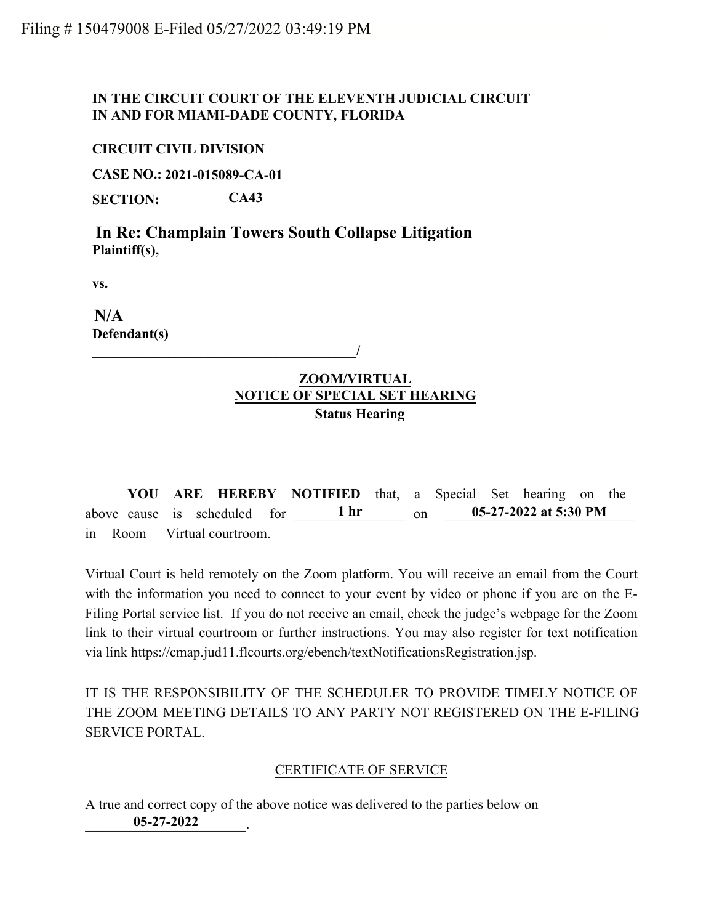# **IN THE CIRCUIT COURT OF THE ELEVENTH JUDICIAL CIRCUIT IN AND FOR MIAMI-DADE COUNTY, FLORIDA**

### **CIRCUIT CIVIL DIVISION**

**CASE NO.: 2021-015089-CA-01**

**SECTION: CA43**

**Plaintiff(s),**

**vs.**

**Defendant(s)**

#### **\_\_\_\_\_\_\_\_\_\_\_\_\_\_\_\_\_\_\_\_\_\_\_\_\_\_\_\_\_\_\_\_\_\_\_\_\_\_/**

# **ZOOM/VIRTUAL NOTICE OF SPECIAL SET HEARING Status Hearing**

**YOU ARE HEREBY NOTIFIED** that, a Special Set hearing on the above cause is scheduled for  $1 \text{ hr}$  on in Room Virtual courtroom. **05-27-2022 at 5:30 PM**

Virtual Court is held remotely on the Zoom platform. You will receive an email from the Court with the information you need to connect to your event by video or phone if you are on the E-Filing Portal service list. If you do not receive an email, check the judge's webpage for the Zoom link to their virtual courtroom or further instructions. You may also register for text notification via link https://cmap.jud11.flcourts.org/ebench/textNotificationsRegistration.jsp. **In Re: Champlain Towers South Collapse Litigation**<br> **Plaintiff(s),**<br> **005-27-2022 IN ADECONDATED ALSET HEARING States Hearing**<br> **1007-1022 IN ARE HEREBY NOTIFIED** that, a Special Rearing<br> **1007-1022 IN ARE HEREBY NO** 

IT IS THE RESPONSIBILITY OF THE SCHEDULER TO PROVIDE TIMELY NOTICE OF THE ZOOM MEETING DETAILS TO ANY PARTY NOT REGISTERED ON THE E-FILING SERVICE PORTAL.

# CERTIFICATE OF SERVICE

A true and correct copy of the above notice was delivered to the parties below on 05-27-2022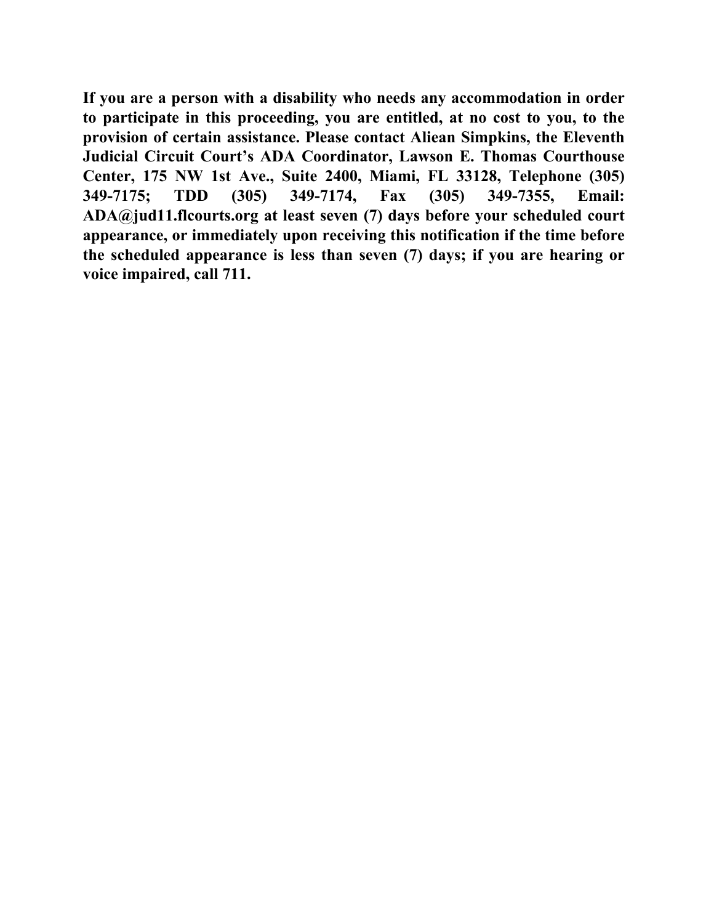**If you are a person with a disability who needs any accommodation in order to participate in this proceeding, you are entitled, at no cost to you, to the provision of certain assistance. Please contact Aliean Simpkins, the Eleventh Judicial Circuit Court's ADA Coordinator, Lawson E. Thomas Courthouse Center, 175 NW 1st Ave., Suite 2400, Miami, FL 33128, Telephone (305) 349-7175; TDD (305) 349-7174, Fax (305) 349-7355, Email: ADA@jud11.flcourts.org at least seven (7) days before your scheduled court appearance, or immediately upon receiving this notification if the time before the scheduled appearance is less than seven (7) days; if you are hearing or voice impaired, call 711.**